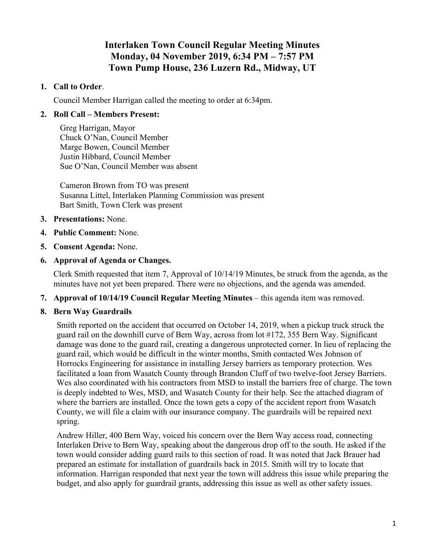# **Interlaken Town Council Regular Meeting Minutes Monday, 04 November 2019, 6:34 PM – 7:57 PM Town Pump House, 236 Luzern Rd., Midway, UT**

### **1. Call to Order**.

Council Member Harrigan called the meeting to order at 6:34pm.

#### **2. Roll Call – Members Present:**

Greg Harrigan, Mayor Chuck O'Nan, Council Member Marge Bowen, Council Member Justin Hibbard, Council Member Sue O'Nan, Council Member was absent

Cameron Brown from TO was present Susanna Littel, Interlaken Planning Commission was present Bart Smith, Town Clerk was present

- **3. Presentations:** None.
- **4. Public Comment:** None.
- **5. Consent Agenda:** None.
- **6. Approval of Agenda or Changes.**

Clerk Smith requested that item 7, Approval of 10/14/19 Minutes, be struck from the agenda, as the minutes have not yet been prepared. There were no objections, and the agenda was amended.

- **7. Approval of 10/14/19 Council Regular Meeting Minutes this agenda item was removed.**
- **8. Bern Way Guardrails**

Smith reported on the accident that occurred on October 14, 2019, when a pickup truck struck the guard rail on the downhill curve of Bern Way, across from lot #172, 355 Bern Way. Significant damage was done to the guard rail, creating a dangerous unprotected corner. In lieu of replacing the guard rail, which would be difficult in the winter months, Smith contacted Wes Johnson of Horrocks Engineering for assistance in installing Jersey barriers as temporary protection. Wes facilitated a loan from Wasatch County through Brandon Cluff of two twelve-foot Jersey Barriers. Wes also coordinated with his contractors from MSD to install the barriers free of charge. The town is deeply indebted to Wes, MSD, and Wasatch County for their help. See the attached diagram of where the barriers are installed. Once the town gets a copy of the accident report from Wasatch County, we will file a claim with our insurance company. The guardrails will be repaired next spring.

Andrew Hiller, 400 Bern Way, voiced his concern over the Bern Way access road, connecting Interlaken Drive to Bern Way, speaking about the dangerous drop off to the south. He asked if the town would consider adding guard rails to this section of road. It was noted that Jack Brauer had prepared an estimate for installation of guardrails back in 2015. Smith will try to locate that information. Harrigan responded that next year the town will address this issue while preparing the budget, and also apply for guardrail grants, addressing this issue as well as other safety issues.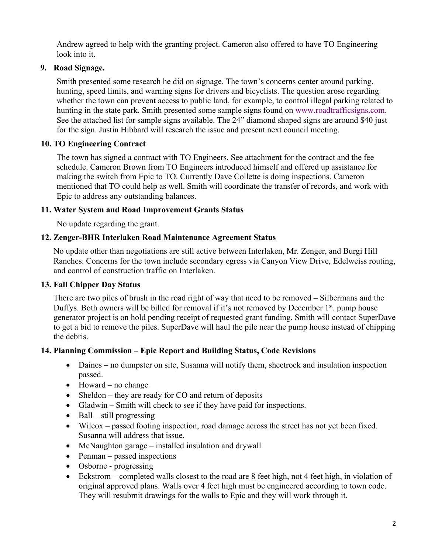Andrew agreed to help with the granting project. Cameron also offered to have TO Engineering look into it.

# **9. Road Signage.**

Smith presented some research he did on signage. The town's concerns center around parking, hunting, speed limits, and warning signs for drivers and bicyclists. The question arose regarding whether the town can prevent access to public land, for example, to control illegal parking related to hunting in the state park. Smith presented some sample signs found on www.roadtrafficsigns.com. See the attached list for sample signs available. The 24" diamond shaped signs are around \$40 just for the sign. Justin Hibbard will research the issue and present next council meeting.

# **10. TO Engineering Contract**

The town has signed a contract with TO Engineers. See attachment for the contract and the fee schedule. Cameron Brown from TO Engineers introduced himself and offered up assistance for making the switch from Epic to TO. Currently Dave Collette is doing inspections. Cameron mentioned that TO could help as well. Smith will coordinate the transfer of records, and work with Epic to address any outstanding balances.

#### **11. Water System and Road Improvement Grants Status**

No update regarding the grant.

#### **12. Zenger-BHR Interlaken Road Maintenance Agreement Status**

No update other than negotiations are still active between Interlaken, Mr. Zenger, and Burgi Hill Ranches. Concerns for the town include secondary egress via Canyon View Drive, Edelweiss routing, and control of construction traffic on Interlaken.

#### **13. Fall Chipper Day Status**

There are two piles of brush in the road right of way that need to be removed – Silbermans and the Duffys. Both owners will be billed for removal if it's not removed by December  $1<sup>st</sup>$ . pump house generator project is on hold pending receipt of requested grant funding. Smith will contact SuperDave to get a bid to remove the piles. SuperDave will haul the pile near the pump house instead of chipping the debris.

#### **14. Planning Commission – Epic Report and Building Status, Code Revisions**

- Daines no dumpster on site, Susanna will notify them, sheetrock and insulation inspection passed.
- Howard no change
- Sheldon they are ready for CO and return of deposits
- Gladwin Smith will check to see if they have paid for inspections.
- Ball still progressing
- Wilcox passed footing inspection, road damage across the street has not yet been fixed. Susanna will address that issue.
- McNaughton garage installed insulation and drywall
- Penman passed inspections
- Osborne progressing
- Eckstrom completed walls closest to the road are 8 feet high, not 4 feet high, in violation of original approved plans. Walls over 4 feet high must be engineered according to town code. They will resubmit drawings for the walls to Epic and they will work through it.